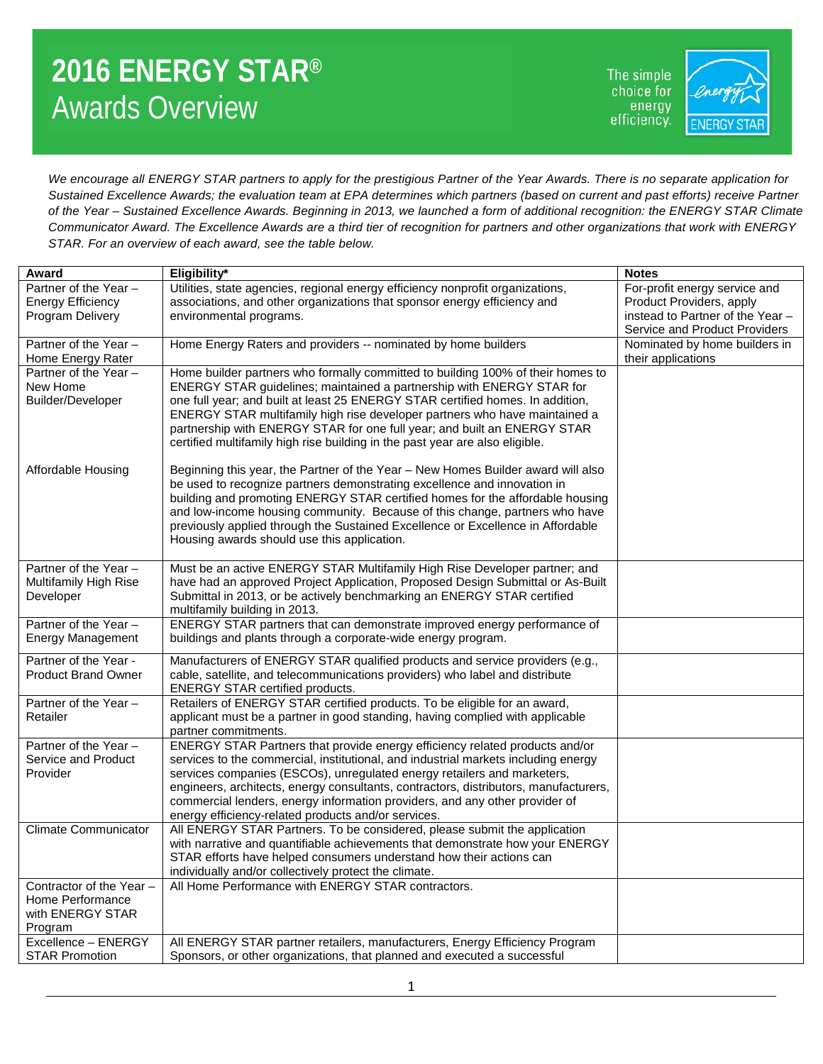## **2016 ENERGY STAR®** Awards Overview

The simple choice for energy efficiency.



*We encourage all ENERGY STAR partners to apply for the prestigious Partner of the Year Awards. There is no separate application for Sustained Excellence Awards; the evaluation team at EPA determines which partners (based on current and past efforts) receive Partner of the Year – Sustained Excellence Awards. Beginning in 2013, we launched a form of additional recognition: the ENERGY STAR Climate Communicator Award. The Excellence Awards are a third tier of recognition for partners and other organizations that work with ENERGY STAR. For an overview of each award, see the table below.* 

| Award                          | Eligibility*                                                                                                                                                 | <b>Notes</b>                     |
|--------------------------------|--------------------------------------------------------------------------------------------------------------------------------------------------------------|----------------------------------|
| Partner of the Year -          | Utilities, state agencies, regional energy efficiency nonprofit organizations,                                                                               | For-profit energy service and    |
| <b>Energy Efficiency</b>       | associations, and other organizations that sponsor energy efficiency and                                                                                     | Product Providers, apply         |
| Program Delivery               | environmental programs.                                                                                                                                      | instead to Partner of the Year - |
|                                |                                                                                                                                                              | Service and Product Providers    |
| Partner of the Year -          | Home Energy Raters and providers -- nominated by home builders                                                                                               | Nominated by home builders in    |
| Home Energy Rater              |                                                                                                                                                              | their applications               |
| Partner of the Year -          | Home builder partners who formally committed to building 100% of their homes to                                                                              |                                  |
| New Home                       | ENERGY STAR guidelines; maintained a partnership with ENERGY STAR for                                                                                        |                                  |
| Builder/Developer              | one full year; and built at least 25 ENERGY STAR certified homes. In addition,                                                                               |                                  |
|                                | ENERGY STAR multifamily high rise developer partners who have maintained a                                                                                   |                                  |
|                                | partnership with ENERGY STAR for one full year; and built an ENERGY STAR                                                                                     |                                  |
|                                | certified multifamily high rise building in the past year are also eligible.                                                                                 |                                  |
|                                |                                                                                                                                                              |                                  |
| Affordable Housing             | Beginning this year, the Partner of the Year – New Homes Builder award will also<br>be used to recognize partners demonstrating excellence and innovation in |                                  |
|                                | building and promoting ENERGY STAR certified homes for the affordable housing                                                                                |                                  |
|                                | and low-income housing community. Because of this change, partners who have                                                                                  |                                  |
|                                | previously applied through the Sustained Excellence or Excellence in Affordable                                                                              |                                  |
|                                | Housing awards should use this application.                                                                                                                  |                                  |
|                                |                                                                                                                                                              |                                  |
| Partner of the Year -          | Must be an active ENERGY STAR Multifamily High Rise Developer partner; and                                                                                   |                                  |
| Multifamily High Rise          | have had an approved Project Application, Proposed Design Submittal or As-Built                                                                              |                                  |
| Developer                      | Submittal in 2013, or be actively benchmarking an ENERGY STAR certified                                                                                      |                                  |
|                                | multifamily building in 2013.                                                                                                                                |                                  |
| Partner of the Year -          | ENERGY STAR partners that can demonstrate improved energy performance of                                                                                     |                                  |
| <b>Energy Management</b>       | buildings and plants through a corporate-wide energy program.                                                                                                |                                  |
| Partner of the Year -          | Manufacturers of ENERGY STAR qualified products and service providers (e.g.,                                                                                 |                                  |
| <b>Product Brand Owner</b>     | cable, satellite, and telecommunications providers) who label and distribute                                                                                 |                                  |
|                                | <b>ENERGY STAR certified products.</b>                                                                                                                       |                                  |
| Partner of the Year -          | Retailers of ENERGY STAR certified products. To be eligible for an award,                                                                                    |                                  |
| Retailer                       | applicant must be a partner in good standing, having complied with applicable                                                                                |                                  |
| Partner of the Year -          | partner commitments.<br>ENERGY STAR Partners that provide energy efficiency related products and/or                                                          |                                  |
| Service and Product            | services to the commercial, institutional, and industrial markets including energy                                                                           |                                  |
| Provider                       | services companies (ESCOs), unregulated energy retailers and marketers,                                                                                      |                                  |
|                                | engineers, architects, energy consultants, contractors, distributors, manufacturers,                                                                         |                                  |
|                                | commercial lenders, energy information providers, and any other provider of                                                                                  |                                  |
|                                | energy efficiency-related products and/or services.                                                                                                          |                                  |
| <b>Climate Communicator</b>    | All ENERGY STAR Partners. To be considered, please submit the application                                                                                    |                                  |
|                                | with narrative and quantifiable achievements that demonstrate how your ENERGY                                                                                |                                  |
|                                | STAR efforts have helped consumers understand how their actions can                                                                                          |                                  |
|                                | individually and/or collectively protect the climate.                                                                                                        |                                  |
| Contractor of the Year -       | All Home Performance with ENERGY STAR contractors.                                                                                                           |                                  |
| Home Performance               |                                                                                                                                                              |                                  |
| with ENERGY STAR               |                                                                                                                                                              |                                  |
| Program<br>Excellence - ENERGY | All ENERGY STAR partner retailers, manufacturers, Energy Efficiency Program                                                                                  |                                  |
| <b>STAR Promotion</b>          | Sponsors, or other organizations, that planned and executed a successful                                                                                     |                                  |
|                                |                                                                                                                                                              |                                  |